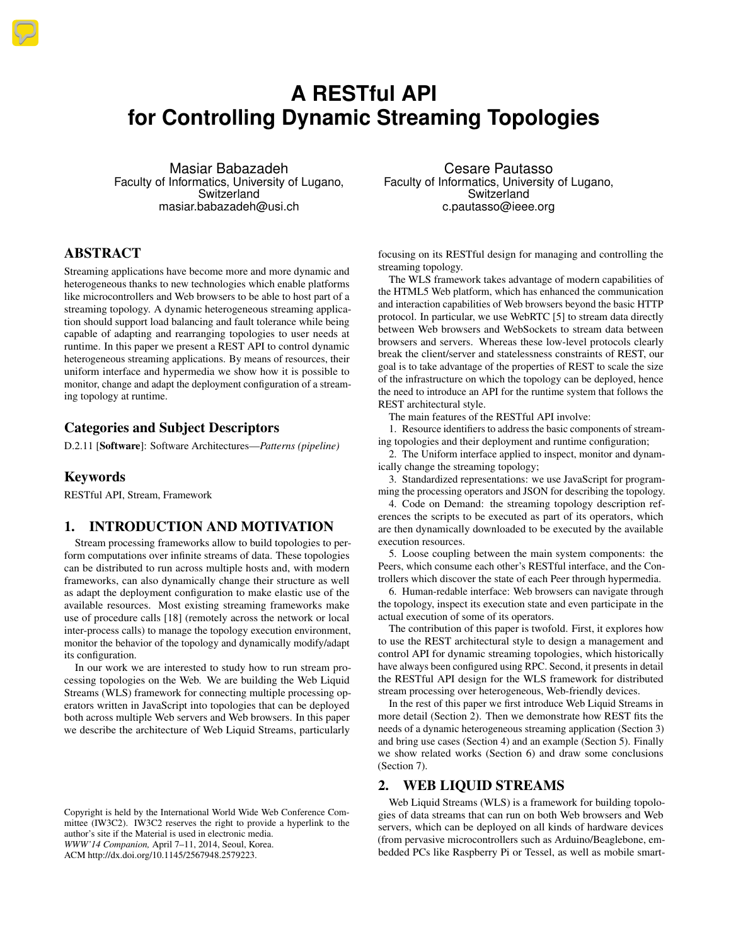# **A RESTful API for Controlling Dynamic Streaming Topologies**

Masiar Babazadeh Faculty of Informatics, University of Lugano, Switzerland masiar.babazadeh@usi.ch

# ABSTRACT

Streaming applications have become more and more dynamic and heterogeneous thanks to new technologies which enable platforms like microcontrollers and Web browsers to be able to host part of a streaming topology. A dynamic heterogeneous streaming application should support load balancing and fault tolerance while being capable of adapting and rearranging topologies to user needs at runtime. In this paper we present a REST API to control dynamic heterogeneous streaming applications. By means of resources, their uniform interface and hypermedia we show how it is possible to monitor, change and adapt the deployment configuration of a streaming topology at runtime.

# Categories and Subject Descriptors

D.2.11 [Software]: Software Architectures—*Patterns (pipeline)*

## Keywords

RESTful API, Stream, Framework

# 1. INTRODUCTION AND MOTIVATION

Stream processing frameworks allow to build topologies to perform computations over infinite streams of data. These topologies can be distributed to run across multiple hosts and, with modern frameworks, can also dynamically change their structure as well as adapt the deployment configuration to make elastic use of the available resources. Most existing streaming frameworks make use of procedure calls [\[18\]](#page-7-0) (remotely across the network or local inter-process calls) to manage the topology execution environment, monitor the behavior of the topology and dynamically modify/adapt its configuration.

In our work we are interested to study how to run stream processing topologies on the Web. We are building the Web Liquid Streams (WLS) framework for connecting multiple processing operators written in JavaScript into topologies that can be deployed both across multiple Web servers and Web browsers. In this paper we describe the architecture of Web Liquid Streams, particularly

Copyright is held by the International World Wide Web Conference Committee (IW3C2). IW3C2 reserves the right to provide a hyperlink to the author's site if the Material is used in electronic media. *WWW'14 Companion,* April 7–11, 2014, Seoul, Korea. ACM http://dx.doi.org/10.1145/2567948.2579223.

Cesare Pautasso Faculty of Informatics, University of Lugano, Switzerland c.pautasso@ieee.org

focusing on its RESTful design for managing and controlling the streaming topology.

The WLS framework takes advantage of modern capabilities of the HTML5 Web platform, which has enhanced the communication and interaction capabilities of Web browsers beyond the basic HTTP protocol. In particular, we use WebRTC [\[5\]](#page-7-1) to stream data directly between Web browsers and WebSockets to stream data between browsers and servers. Whereas these low-level protocols clearly break the client/server and statelessness constraints of REST, our goal is to take advantage of the properties of REST to scale the size of the infrastructure on which the topology can be deployed, hence the need to introduce an API for the runtime system that follows the REST architectural style.

The main features of the RESTful API involve:

1. Resource identifiers to address the basic components of streaming topologies and their deployment and runtime configuration;

2. The Uniform interface applied to inspect, monitor and dynamically change the streaming topology;

3. Standardized representations: we use JavaScript for programming the processing operators and JSON for describing the topology.

4. Code on Demand: the streaming topology description references the scripts to be executed as part of its operators, which are then dynamically downloaded to be executed by the available execution resources.

5. Loose coupling between the main system components: the Peers, which consume each other's RESTful interface, and the Controllers which discover the state of each Peer through hypermedia.

6. Human-redable interface: Web browsers can navigate through the topology, inspect its execution state and even participate in the actual execution of some of its operators.

The contribution of this paper is twofold. First, it explores how to use the REST architectural style to design a management and control API for dynamic streaming topologies, which historically have always been configured using RPC. Second, it presents in detail the RESTful API design for the WLS framework for distributed stream processing over heterogeneous, Web-friendly devices.

In the rest of this paper we first introduce Web Liquid Streams in more detail (Section [2\)](#page-0-0). Then we demonstrate how REST fits the needs of a dynamic heterogeneous streaming application (Section [3\)](#page-1-0) and bring use cases (Section [4\)](#page-4-0) and an example (Section [5\)](#page-5-0). Finally we show related works (Section [6\)](#page-6-0) and draw some conclusions (Section [7\)](#page-7-2).

# <span id="page-0-0"></span>2. WEB LIQUID STREAMS

Web Liquid Streams (WLS) is a framework for building topologies of data streams that can run on both Web browsers and Web servers, which can be deployed on all kinds of hardware devices (from pervasive microcontrollers such as Arduino/Beaglebone, embedded PCs like Raspberry Pi or Tessel, as well as mobile smart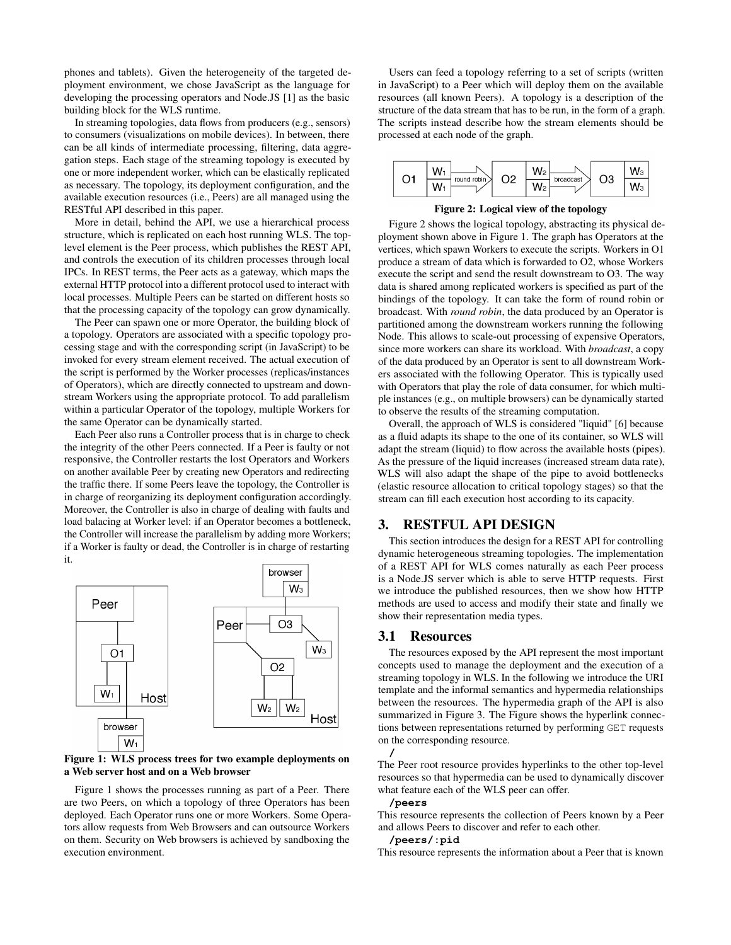phones and tablets). Given the heterogeneity of the targeted deployment environment, we chose JavaScript as the language for developing the processing operators and Node.JS [\[1\]](#page-7-3) as the basic building block for the WLS runtime.

In streaming topologies, data flows from producers (e.g., sensors) to consumers (visualizations on mobile devices). In between, there can be all kinds of intermediate processing, filtering, data aggregation steps. Each stage of the streaming topology is executed by one or more independent worker, which can be elastically replicated as necessary. The topology, its deployment configuration, and the available execution resources (i.e., Peers) are all managed using the RESTful API described in this paper.

More in detail, behind the API, we use a hierarchical process structure, which is replicated on each host running WLS. The toplevel element is the Peer process, which publishes the REST API, and controls the execution of its children processes through local IPCs. In REST terms, the Peer acts as a gateway, which maps the external HTTP protocol into a different protocol used to interact with local processes. Multiple Peers can be started on different hosts so that the processing capacity of the topology can grow dynamically.

The Peer can spawn one or more Operator, the building block of a topology. Operators are associated with a specific topology processing stage and with the corresponding script (in JavaScript) to be invoked for every stream element received. The actual execution of the script is performed by the Worker processes (replicas/instances of Operators), which are directly connected to upstream and downstream Workers using the appropriate protocol. To add parallelism within a particular Operator of the topology, multiple Workers for the same Operator can be dynamically started.

Each Peer also runs a Controller process that is in charge to check the integrity of the other Peers connected. If a Peer is faulty or not responsive, the Controller restarts the lost Operators and Workers on another available Peer by creating new Operators and redirecting the traffic there. If some Peers leave the topology, the Controller is in charge of reorganizing its deployment configuration accordingly. Moreover, the Controller is also in charge of dealing with faults and load balacing at Worker level: if an Operator becomes a bottleneck, the Controller will increase the parallelism by adding more Workers; if a Worker is faulty or dead, the Controller is in charge of restarting it.



#### <span id="page-1-1"></span>Figure 1: WLS process trees for two example deployments on a Web server host and on a Web browser

Figure [1](#page-1-1) shows the processes running as part of a Peer. There are two Peers, on which a topology of three Operators has been deployed. Each Operator runs one or more Workers. Some Operators allow requests from Web Browsers and can outsource Workers on them. Security on Web browsers is achieved by sandboxing the execution environment.

Users can feed a topology referring to a set of scripts (written in JavaScript) to a Peer which will deploy them on the available resources (all known Peers). A topology is a description of the structure of the data stream that has to be run, in the form of a graph. The scripts instead describe how the stream elements should be processed at each node of the graph.



<span id="page-1-2"></span>Figure 2: Logical view of the topology

Figure [2](#page-1-2) shows the logical topology, abstracting its physical deployment shown above in Figure [1.](#page-1-1) The graph has Operators at the vertices, which spawn Workers to execute the scripts. Workers in O1 produce a stream of data which is forwarded to O2, whose Workers execute the script and send the result downstream to O3. The way data is shared among replicated workers is specified as part of the bindings of the topology. It can take the form of round robin or broadcast. With *round robin*, the data produced by an Operator is partitioned among the downstream workers running the following Node. This allows to scale-out processing of expensive Operators, since more workers can share its workload. With *broadcast*, a copy of the data produced by an Operator is sent to all downstream Workers associated with the following Operator. This is typically used with Operators that play the role of data consumer, for which multiple instances (e.g., on multiple browsers) can be dynamically started to observe the results of the streaming computation.

Overall, the approach of WLS is considered "liquid" [\[6\]](#page-7-4) because as a fluid adapts its shape to the one of its container, so WLS will adapt the stream (liquid) to flow across the available hosts (pipes). As the pressure of the liquid increases (increased stream data rate), WLS will also adapt the shape of the pipe to avoid bottlenecks (elastic resource allocation to critical topology stages) so that the stream can fill each execution host according to its capacity.

# <span id="page-1-0"></span>3. RESTFUL API DESIGN

This section introduces the design for a REST API for controlling dynamic heterogeneous streaming topologies. The implementation of a REST API for WLS comes naturally as each Peer process is a Node.JS server which is able to serve HTTP requests. First we introduce the published resources, then we show how HTTP methods are used to access and modify their state and finally we show their representation media types.

## 3.1 Resources

The resources exposed by the API represent the most important concepts used to manage the deployment and the execution of a streaming topology in WLS. In the following we introduce the URI template and the informal semantics and hypermedia relationships between the resources. The hypermedia graph of the API is also summarized in Figure [3.](#page-2-0) The Figure shows the hyperlink connections between representations returned by performing GET requests on the corresponding resource.



The Peer root resource provides hyperlinks to the other top-level resources so that hypermedia can be used to dynamically discover what feature each of the WLS peer can offer.

## **/peers**

This resource represents the collection of Peers known by a Peer and allows Peers to discover and refer to each other.

## **/peers/:pid**

This resource represents the information about a Peer that is known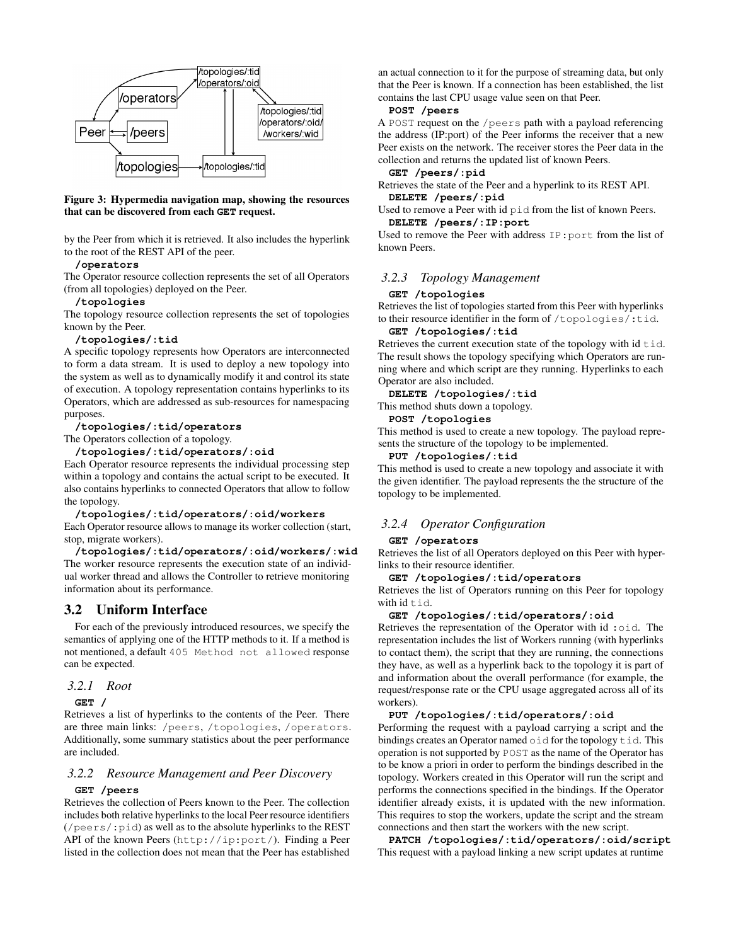

<span id="page-2-0"></span>Figure 3: Hypermedia navigation map, showing the resources that can be discovered from each **GET** request.

by the Peer from which it is retrieved. It also includes the hyperlink to the root of the REST API of the peer.

## **/operators**

The Operator resource collection represents the set of all Operators (from all topologies) deployed on the Peer.

#### **/topologies**

The topology resource collection represents the set of topologies known by the Peer.

#### **/topologies/:tid**

A specific topology represents how Operators are interconnected to form a data stream. It is used to deploy a new topology into the system as well as to dynamically modify it and control its state of execution. A topology representation contains hyperlinks to its Operators, which are addressed as sub-resources for namespacing purposes.

#### **/topologies/:tid/operators**

The Operators collection of a topology.

**/topologies/:tid/operators/:oid**

Each Operator resource represents the individual processing step within a topology and contains the actual script to be executed. It also contains hyperlinks to connected Operators that allow to follow the topology.

#### **/topologies/:tid/operators/:oid/workers**

Each Operator resource allows to manage its worker collection (start, stop, migrate workers).

**/topologies/:tid/operators/:oid/workers/:wid** The worker resource represents the execution state of an individual worker thread and allows the Controller to retrieve monitoring information about its performance.

# 3.2 Uniform Interface

For each of the previously introduced resources, we specify the semantics of applying one of the HTTP methods to it. If a method is not mentioned, a default 405 Method not allowed response can be expected.

#### *3.2.1 Root*

**GET /**

Retrieves a list of hyperlinks to the contents of the Peer. There are three main links: /peers, /topologies, /operators. Additionally, some summary statistics about the peer performance are included.

## *3.2.2 Resource Management and Peer Discovery*

#### **GET /peers**

Retrieves the collection of Peers known to the Peer. The collection includes both relative hyperlinks to the local Peer resource identifiers (/peers/:pid) as well as to the absolute hyperlinks to the REST API of the known Peers (http://ip:port/). Finding a Peer listed in the collection does not mean that the Peer has established

an actual connection to it for the purpose of streaming data, but only that the Peer is known. If a connection has been established, the list contains the last CPU usage value seen on that Peer.

## **POST /peers**

A POST request on the /peers path with a payload referencing the address (IP:port) of the Peer informs the receiver that a new Peer exists on the network. The receiver stores the Peer data in the collection and returns the updated list of known Peers.

#### **GET /peers/:pid**

Retrieves the state of the Peer and a hyperlink to its REST API. **DELETE /peers/:pid**

## Used to remove a Peer with id pid from the list of known Peers. **DELETE /peers/:IP:port**

Used to remove the Peer with address IP:port from the list of known Peers.

# *3.2.3 Topology Management*

#### **GET /topologies**

Retrieves the list of topologies started from this Peer with hyperlinks to their resource identifier in the form of /topologies/:tid.

#### **GET /topologies/:tid**

Retrieves the current execution state of the topology with  $id \text{tid.}$ The result shows the topology specifying which Operators are running where and which script are they running. Hyperlinks to each Operator are also included.

#### **DELETE /topologies/:tid**

This method shuts down a topology.

#### **POST /topologies**

This method is used to create a new topology. The payload represents the structure of the topology to be implemented.

#### **PUT /topologies/:tid**

This method is used to create a new topology and associate it with the given identifier. The payload represents the the structure of the topology to be implemented.

## *3.2.4 Operator Configuration*

#### **GET /operators**

Retrieves the list of all Operators deployed on this Peer with hyperlinks to their resource identifier.

#### **GET /topologies/:tid/operators**

Retrieves the list of Operators running on this Peer for topology with  $id + id$ .

#### **GET /topologies/:tid/operators/:oid**

Retrieves the representation of the Operator with id: oid. The representation includes the list of Workers running (with hyperlinks to contact them), the script that they are running, the connections they have, as well as a hyperlink back to the topology it is part of and information about the overall performance (for example, the request/response rate or the CPU usage aggregated across all of its workers).

## **PUT /topologies/:tid/operators/:oid**

Performing the request with a payload carrying a script and the bindings creates an Operator named oid for the topology tid. This operation is not supported by POST as the name of the Operator has to be know a priori in order to perform the bindings described in the topology. Workers created in this Operator will run the script and performs the connections specified in the bindings. If the Operator identifier already exists, it is updated with the new information. This requires to stop the workers, update the script and the stream connections and then start the workers with the new script.

**PATCH /topologies/:tid/operators/:oid/script** This request with a payload linking a new script updates at runtime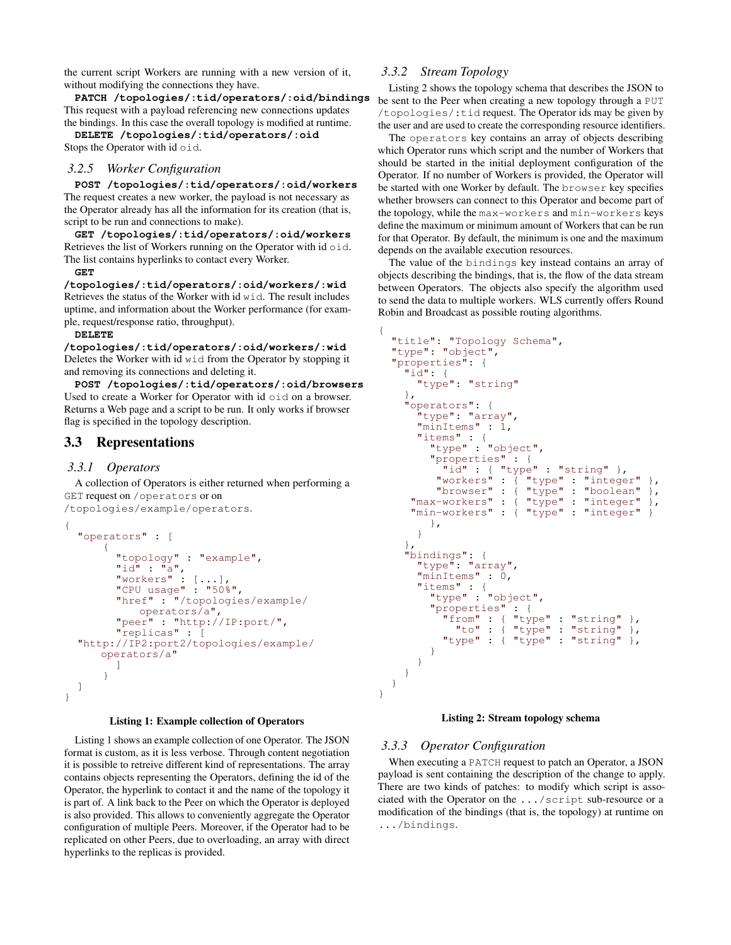the current script Workers are running with a new version of it, without modifying the connections they have.

**PATCH /topologies/:tid/operators/:oid/bindings** This request with a payload referencing new connections updates the bindings. In this case the overall topology is modified at runtime.

**DELETE /topologies/:tid/operators/:oid** Stops the Operator with id oid.

## *3.2.5 Worker Configuration*

**POST /topologies/:tid/operators/:oid/workers** The request creates a new worker, the payload is not necessary as the Operator already has all the information for its creation (that is, script to be run and connections to make).

**GET /topologies/:tid/operators/:oid/workers** Retrieves the list of Workers running on the Operator with id oid. The list contains hyperlinks to contact every Worker.

#### **GET**

**/topologies/:tid/operators/:oid/workers/:wid** Retrieves the status of the Worker with id wid. The result includes uptime, and information about the Worker performance (for example, request/response ratio, throughput).

#### **DELETE**

**/topologies/:tid/operators/:oid/workers/:wid** Deletes the Worker with id wid from the Operator by stopping it and removing its connections and deleting it.

**POST /topologies/:tid/operators/:oid/browsers** Used to create a Worker for Operator with id oid on a browser. Returns a Web page and a script to be run. It only works if browser flag is specified in the topology description.

## 3.3 Representations

## *3.3.1 Operators*

A collection of Operators is either returned when performing a GET request on /operators or on /topologies/example/operators.

```
{ "operators" : [
         {
            "topology" : "example",<br>"id" : "a",<br>"workers" : [\ldots],
             "CPU usage" : "50%",<br>"href" : "/topologies/example/<br>operators/a",
             "peer" : "http://IP:port/",\n"replicas" : ["http://IP2:port2/topologies/example/
         operators/a" ]
          }
  ]
}
```
#### Listing 1: Example collection of Operators

Listing [1](#page-3-0) shows an example collection of one Operator. The JSON format is custom, as it is less verbose. Through content negotiation it is possible to retreive different kind of representations. The array contains objects representing the Operators, defining the id of the Operator, the hyperlink to contact it and the name of the topology it is part of. A link back to the Peer on which the Operator is deployed is also provided. This allows to conveniently aggregate the Operator configuration of multiple Peers. Moreover, if the Operator had to be replicated on other Peers, due to overloading, an array with direct hyperlinks to the replicas is provided.

## *3.3.2 Stream Topology*

Listing [2](#page-3-1) shows the topology schema that describes the JSON to be sent to the Peer when creating a new topology through a PUT /topologies/:tid request. The Operator ids may be given by the user and are used to create the corresponding resource identifiers.

The operators key contains an array of objects describing which Operator runs which script and the number of Workers that should be started in the initial deployment configuration of the Operator. If no number of Workers is provided, the Operator will be started with one Worker by default. The browser key specifies whether browsers can connect to this Operator and become part of the topology, while the max-workers and min-workers keys define the maximum or minimum amount of Workers that can be run for that Operator. By default, the minimum is one and the maximum depends on the available execution resources.

The value of the bindings key instead contains an array of objects describing the bindings, that is, the flow of the data stream between Operators. The objects also specify the algorithm used to send the data to multiple workers. WLS currently offers Round Robin and Broadcast as possible routing algorithms.

```
{
    "title": "Topology Schema", "type": "object", "properties": {
        "type": "string"<br>},<br>"operators": {
             "type": "array",<br>"minItems" : 1,
            "items" : {<br>"type" : "object",<br>"properties" : {
                   ""id" : { "type" : "string" },<br>"workers" : { "type" : "integer" },<br>"browser" : { "type" : "boolean" },
           "browser" : { "type" : "boolean" }, "max-workers" : { "type" : "integer" },
           "min-workers" : { "type" : "integer" }
                },
             }
        },
        "bindings": {<br>"type": "array",<br>"minItems" : 0,
            "items" : {<br>"type" : "object",<br>"properties" : {
                      "properties" : {<br>"from" : { "type" : "string" },<br>"to" : { "type" : "string" },
                      "type" : \{\n\text{ "type" : "string" } \}}
            }
        }
    }
}
```
#### Listing 2: Stream topology schema

#### *3.3.3 Operator Configuration*

<span id="page-3-2"></span>When executing a PATCH request to patch an Operator, a JSON payload is sent containing the description of the change to apply. There are two kinds of patches: to modify which script is associated with the Operator on the .../script sub-resource or a modification of the bindings (that is, the topology) at runtime on .../bindings.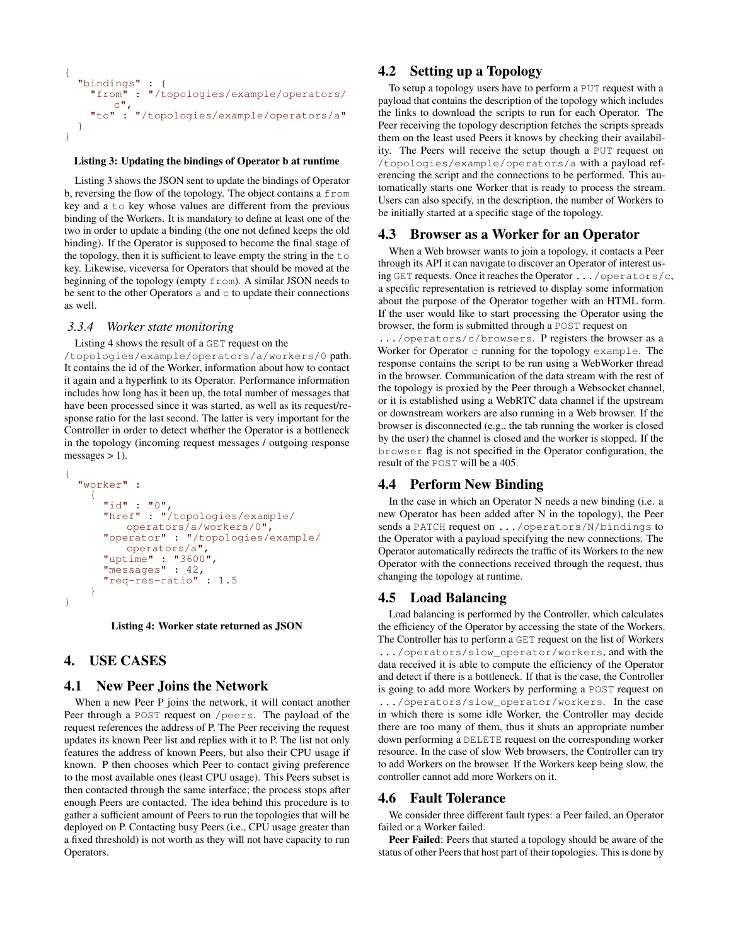```
{<br>"bindings" : {<br>"from" : "/topologies/example/operators/
       "from" : "/topologies/example/operators/ c", "to" : "/topologies/example/operators/a"
   }
}
```
#### Listing 3: Updating the bindings of Operator b at runtime

Listing [3](#page-3-2) shows the JSON sent to update the bindings of Operator b, reversing the flow of the topology. The object contains a from key and a to key whose values are different from the previous binding of the Workers. It is mandatory to define at least one of the two in order to update a binding (the one not defined keeps the old binding). If the Operator is supposed to become the final stage of the topology, then it is sufficient to leave empty the string in the  $\pm \circ$ key. Likewise, viceversa for Operators that should be moved at the beginning of the topology (empty from). A similar JSON needs to be sent to the other Operators  $a$  and  $c$  to update their connections as well.

#### *3.3.4 Worker state monitoring*

Listing [4](#page-4-1) shows the result of a GET request on the

/topologies/example/operators/a/workers/0 path. It contains the id of the Worker, information about how to contact it again and a hyperlink to its Operator. Performance information includes how long has it been up, the total number of messages that have been processed since it was started, as well as its request/response ratio for the last second. The latter is very important for the Controller in order to detect whether the Operator is a bottleneck in the topology (incoming request messages / outgoing response messages  $> 1$ ).

```
{
  "worker" :<br>{<br>"id" : "0",
       "href" : "/topologies/example/
           operators/a/workers/0",
       "operator" : "/topologies/example/
       "uptime" : "3600"<br>"messages" : 42,
       "req-res-ratio" : 1.5
     }
}
```
Listing 4: Worker state returned as JSON

# <span id="page-4-0"></span>4. USE CASES

## 4.1 New Peer Joins the Network

When a new Peer P joins the network, it will contact another Peer through a POST request on /peers. The payload of the request references the address of P. The Peer receiving the request updates its known Peer list and replies with it to P. The list not only features the address of known Peers, but also their CPU usage if known. P then chooses which Peer to contact giving preference to the most available ones (least CPU usage). This Peers subset is then contacted through the same interface; the process stops after enough Peers are contacted. The idea behind this procedure is to gather a sufficient amount of Peers to run the topologies that will be deployed on P. Contacting busy Peers (i.e., CPU usage greater than a fixed threshold) is not worth as they will not have capacity to run Operators.

# 4.2 Setting up a Topology

To setup a topology users have to perform a PUT request with a payload that contains the description of the topology which includes the links to download the scripts to run for each Operator. The Peer receiving the topology description fetches the scripts spreads them on the least used Peers it knows by checking their availability. The Peers will receive the setup though a PUT request on /topologies/example/operators/a with a payload referencing the script and the connections to be performed. This automatically starts one Worker that is ready to process the stream. Users can also specify, in the description, the number of Workers to be initially started at a specific stage of the topology.

## 4.3 Browser as a Worker for an Operator

When a Web browser wants to join a topology, it contacts a Peer through its API it can navigate to discover an Operator of interest using GET requests. Once it reaches the Operator .../operators/c, a specific representation is retrieved to display some information about the purpose of the Operator together with an HTML form. If the user would like to start processing the Operator using the browser, the form is submitted through a POST request on

.../operators/c/browsers. P registers the browser as a Worker for Operator c running for the topology example. The response contains the script to be run using a WebWorker thread in the browser. Communication of the data stream with the rest of the topology is proxied by the Peer through a Websocket channel, or it is established using a WebRTC data channel if the upstream or downstream workers are also running in a Web browser. If the browser is disconnected (e.g., the tab running the worker is closed by the user) the channel is closed and the worker is stopped. If the browser flag is not specified in the Operator configuration, the result of the POST will be a 405.

## 4.4 Perform New Binding

In the case in which an Operator N needs a new binding (i.e. a new Operator has been added after N in the topology), the Peer sends a PATCH request on .../operators/N/bindings to the Operator with a payload specifying the new connections. The Operator automatically redirects the traffic of its Workers to the new Operator with the connections received through the request, thus changing the topology at runtime.

## 4.5 Load Balancing

Load balancing is performed by the Controller, which calculates the efficiency of the Operator by accessing the state of the Workers. The Controller has to perform a GET request on the list of Workers .../operators/slow\_operator/workers, and with the data received it is able to compute the efficiency of the Operator and detect if there is a bottleneck. If that is the case, the Controller is going to add more Workers by performing a POST request on .../operators/slow\_operator/workers. In the case in which there is some idle Worker, the Controller may decide there are too many of them, thus it shuts an appropriate number down performing a DELETE request on the corresponding worker resource. In the case of slow Web browsers, the Controller can try to add Workers on the browser. If the Workers keep being slow, the controller cannot add more Workers on it.

## 4.6 Fault Tolerance

We consider three different fault types: a Peer failed, an Operator failed or a Worker failed.

Peer Failed: Peers that started a topology should be aware of the status of other Peers that host part of their topologies. This is done by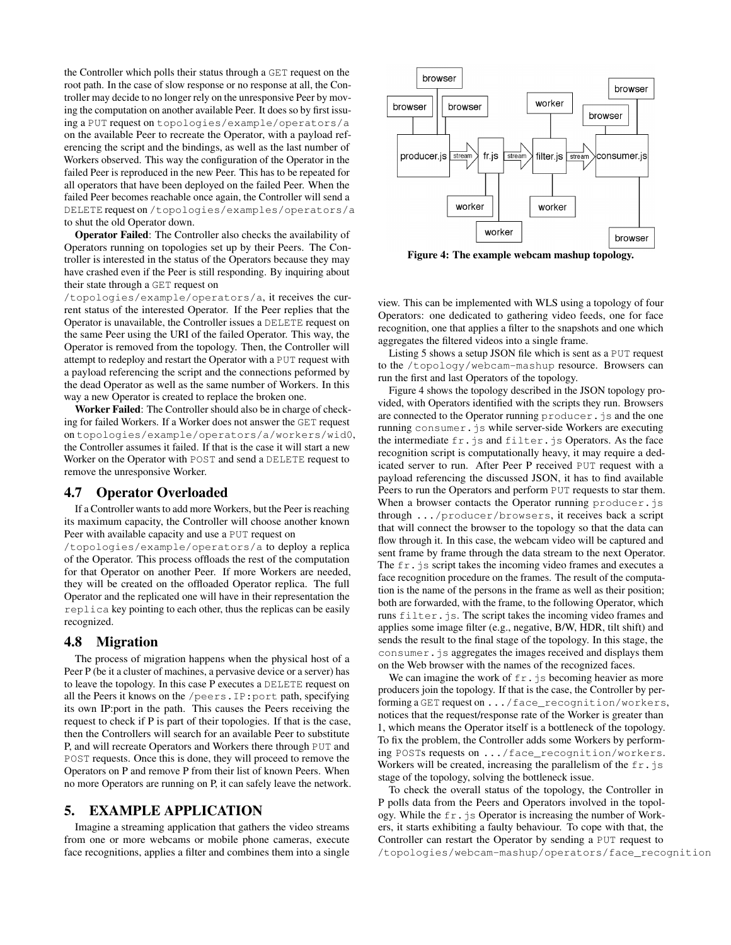the Controller which polls their status through a GET request on the root path. In the case of slow response or no response at all, the Controller may decide to no longer rely on the unresponsive Peer by moving the computation on another available Peer. It does so by first issuing a PUT request on topologies/example/operators/a on the available Peer to recreate the Operator, with a payload referencing the script and the bindings, as well as the last number of Workers observed. This way the configuration of the Operator in the failed Peer is reproduced in the new Peer. This has to be repeated for all operators that have been deployed on the failed Peer. When the failed Peer becomes reachable once again, the Controller will send a DELETE request on /topologies/examples/operators/a to shut the old Operator down.

Operator Failed: The Controller also checks the availability of Operators running on topologies set up by their Peers. The Controller is interested in the status of the Operators because they may have crashed even if the Peer is still responding. By inquiring about their state through a GET request on

/topologies/example/operators/a, it receives the current status of the interested Operator. If the Peer replies that the Operator is unavailable, the Controller issues a DELETE request on the same Peer using the URI of the failed Operator. This way, the Operator is removed from the topology. Then, the Controller will attempt to redeploy and restart the Operator with a PUT request with a payload referencing the script and the connections peformed by the dead Operator as well as the same number of Workers. In this way a new Operator is created to replace the broken one.

Worker Failed: The Controller should also be in charge of checking for failed Workers. If a Worker does not answer the GET request on topologies/example/operators/a/workers/wid0, the Controller assumes it failed. If that is the case it will start a new Worker on the Operator with POST and send a DELETE request to remove the unresponsive Worker.

## 4.7 Operator Overloaded

If a Controller wants to add more Workers, but the Peer is reaching its maximum capacity, the Controller will choose another known Peer with available capacity and use a PUT request on

/topologies/example/operators/a to deploy a replica of the Operator. This process offloads the rest of the computation for that Operator on another Peer. If more Workers are needed, they will be created on the offloaded Operator replica. The full Operator and the replicated one will have in their representation the replica key pointing to each other, thus the replicas can be easily recognized.

## 4.8 Migration

The process of migration happens when the physical host of a Peer P (be it a cluster of machines, a pervasive device or a server) has to leave the topology. In this case P executes a DELETE request on all the Peers it knows on the /peers.IP:port path, specifying its own IP:port in the path. This causes the Peers receiving the request to check if P is part of their topologies. If that is the case, then the Controllers will search for an available Peer to substitute P, and will recreate Operators and Workers there through PUT and POST requests. Once this is done, they will proceed to remove the Operators on P and remove P from their list of known Peers. When no more Operators are running on P, it can safely leave the network.

# <span id="page-5-0"></span>5. EXAMPLE APPLICATION

Imagine a streaming application that gathers the video streams from one or more webcams or mobile phone cameras, execute face recognitions, applies a filter and combines them into a single



<span id="page-5-1"></span>Figure 4: The example webcam mashup topology.

view. This can be implemented with WLS using a topology of four Operators: one dedicated to gathering video feeds, one for face recognition, one that applies a filter to the snapshots and one which aggregates the filtered videos into a single frame.

Listing [5](#page-6-1) shows a setup JSON file which is sent as a PUT request to the /topology/webcam-mashup resource. Browsers can run the first and last Operators of the topology.

Figure [4](#page-5-1) shows the topology described in the JSON topology provided, with Operators identified with the scripts they run. Browsers are connected to the Operator running producer. js and the one running consumer.js while server-side Workers are executing the intermediate fr.js and filter.js Operators. As the face recognition script is computationally heavy, it may require a dedicated server to run. After Peer P received PUT request with a payload referencing the discussed JSON, it has to find available Peers to run the Operators and perform PUT requests to star them. When a browser contacts the Operator running producer.js through .../producer/browsers, it receives back a script that will connect the browser to the topology so that the data can flow through it. In this case, the webcam video will be captured and sent frame by frame through the data stream to the next Operator. The fr.js script takes the incoming video frames and executes a face recognition procedure on the frames. The result of the computation is the name of the persons in the frame as well as their position; both are forwarded, with the frame, to the following Operator, which runs filter.js. The script takes the incoming video frames and applies some image filter (e.g., negative, B/W, HDR, tilt shift) and sends the result to the final stage of the topology. In this stage, the consumer.js aggregates the images received and displays them on the Web browser with the names of the recognized faces.

We can imagine the work of  $f \circ f$ , js becoming heavier as more producers join the topology. If that is the case, the Controller by performing a GET request on .../face\_recognition/workers, notices that the request/response rate of the Worker is greater than 1, which means the Operator itself is a bottleneck of the topology. To fix the problem, the Controller adds some Workers by performing POSTs requests on .../face\_recognition/workers. Workers will be created, increasing the parallelism of the  $f \circ f$ . stage of the topology, solving the bottleneck issue.

To check the overall status of the topology, the Controller in P polls data from the Peers and Operators involved in the topology. While the  $f \circ f$ , js Operator is increasing the number of Workers, it starts exhibiting a faulty behaviour. To cope with that, the Controller can restart the Operator by sending a PUT request to /topologies/webcam-mashup/operators/face\_recognition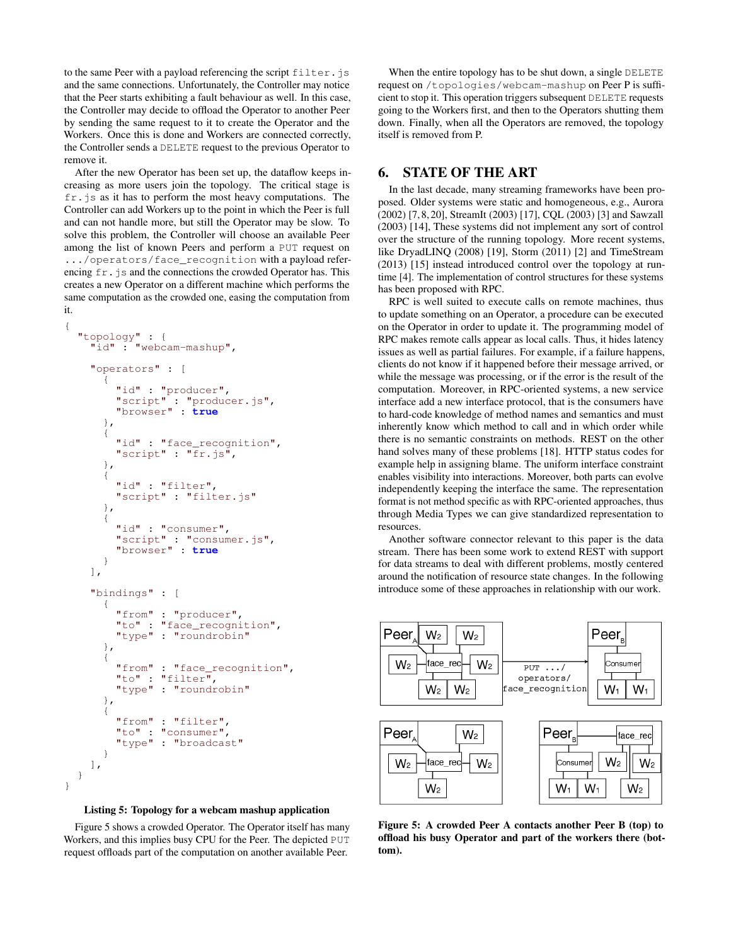to the same Peer with a payload referencing the script filter. js and the same connections. Unfortunately, the Controller may notice that the Peer starts exhibiting a fault behaviour as well. In this case, the Controller may decide to offload the Operator to another Peer by sending the same request to it to create the Operator and the Workers. Once this is done and Workers are connected correctly, the Controller sends a DELETE request to the previous Operator to remove it.

After the new Operator has been set up, the dataflow keeps increasing as more users join the topology. The critical stage is  $f_{r}$ , js as it has to perform the most heavy computations. The Controller can add Workers up to the point in which the Peer is full and can not handle more, but still the Operator may be slow. To solve this problem, the Controller will choose an available Peer among the list of known Peers and perform a PUT request on .../operators/face\_recognition with a payload referencing  $f r$ . js and the connections the crowded Operator has. This creates a new Operator on a different machine which performs the same computation as the crowded one, easing the computation from it.

}

```
{ "topology" : {
   "id" : "webcam-mashup",
  "operators" : [
      { "id" : "producer",
        "script" : "producer.js", "browser" : true
     },
     { "id" : "face_recognition",
     "script" : "fr.js",
     {
     "id" : "filter",<br>"script" : "filter.js"<br>},
      { "id" : "consumer",
        "script" : "consumer.js", "browser" : true
     }
  ],
   "bindings" : [
      {<br>"from" : "producer",<br>"to" : "face_recognition",
      "type" : "roundrobin" },
        { "from" : "face_recognition", "to" : "filter",
     "type" : "roundrobin" },
      {
        "from" : "filter", "to" : "consumer",
     "type" : "broadcast" }
  \vert,
}
```


Figure [5](#page-6-2) shows a crowded Operator. The Operator itself has many Workers, and this implies busy CPU for the Peer. The depicted PUT request offloads part of the computation on another available Peer.

When the entire topology has to be shut down, a single DELETE request on /topologies/webcam-mashup on Peer P is sufficient to stop it. This operation triggers subsequent DELETE requests going to the Workers first, and then to the Operators shutting them down. Finally, when all the Operators are removed, the topology itself is removed from P.

# <span id="page-6-0"></span>6. STATE OF THE ART

In the last decade, many streaming frameworks have been proposed. Older systems were static and homogeneous, e.g., Aurora (2002) [\[7,](#page-7-5) [8,](#page-7-6) [20\]](#page-7-7), StreamIt (2003) [\[17\]](#page-7-8), CQL (2003) [\[3\]](#page-7-9) and Sawzall (2003) [\[14\]](#page-7-10), These systems did not implement any sort of control over the structure of the running topology. More recent systems, like DryadLINQ (2008) [\[19\]](#page-7-11), Storm (2011) [\[2\]](#page-7-12) and TimeStream (2013) [\[15\]](#page-7-13) instead introduced control over the topology at runtime [\[4\]](#page-7-14). The implementation of control structures for these systems has been proposed with RPC.

RPC is well suited to execute calls on remote machines, thus to update something on an Operator, a procedure can be executed on the Operator in order to update it. The programming model of RPC makes remote calls appear as local calls. Thus, it hides latency issues as well as partial failures. For example, if a failure happens, clients do not know if it happened before their message arrived, or while the message was processing, or if the error is the result of the computation. Moreover, in RPC-oriented systems, a new service interface add a new interface protocol, that is the consumers have to hard-code knowledge of method names and semantics and must inherently know which method to call and in which order while there is no semantic constraints on methods. REST on the other hand solves many of these problems [\[18\]](#page-7-0). HTTP status codes for example help in assigning blame. The uniform interface constraint enables visibility into interactions. Moreover, both parts can evolve independently keeping the interface the same. The representation format is not method specific as with RPC-oriented approaches, thus through Media Types we can give standardized representation to resources.

Another software connector relevant to this paper is the data stream. There has been some work to extend REST with support for data streams to deal with different problems, mostly centered around the notification of resource state changes. In the following introduce some of these approaches in relationship with our work.



<span id="page-6-2"></span>Figure 5: A crowded Peer A contacts another Peer B (top) to offload his busy Operator and part of the workers there (bottom).